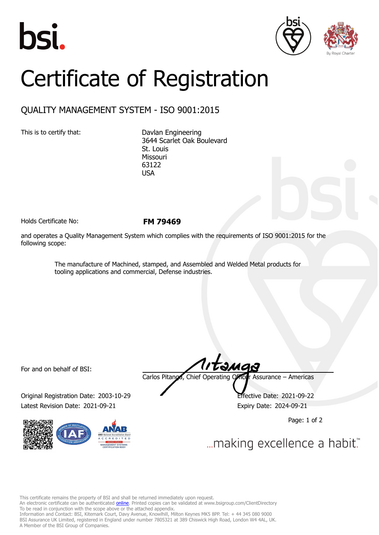





## Certificate of Registration

## QUALITY MANAGEMENT SYSTEM - ISO 9001:2015

This is to certify that: Davlan Engineering 3644 Scarlet Oak Boulevard St. Louis Missouri 63122 USA

Holds Certificate No: **FM 79469**

and operates a Quality Management System which complies with the requirements of ISO 9001:2015 for the following scope:

> The manufacture of Machined, stamped, and Assembled and Welded Metal products for tooling applications and commercial, Defense industries.

For and on behalf of BSI:

Original Registration Date: 2003-10-29 Effective Date: 2021-09-22 Latest Revision Date: 2021-09-21 Expiry Date: 2024-09-21



Carlos Pitanga, Chief Operating Officer Assurance – Americas

Page: 1 of 2

... making excellence a habit."

This certificate remains the property of BSI and shall be returned immediately upon request.

An electronic certificate can be authenticated *[online](https://pgplus.bsigroup.com/CertificateValidation/CertificateValidator.aspx?CertificateNumber=FM+79469&ReIssueDate=21%2f09%2f2021&Template=inc)*. Printed copies can be validated at www.bsigroup.com/ClientDirectory To be read in conjunction with the scope above or the attached appendix.

Information and Contact: BSI, Kitemark Court, Davy Avenue, Knowlhill, Milton Keynes MK5 8PP. Tel: + 44 345 080 9000 BSI Assurance UK Limited, registered in England under number 7805321 at 389 Chiswick High Road, London W4 4AL, UK. A Member of the BSI Group of Companies.